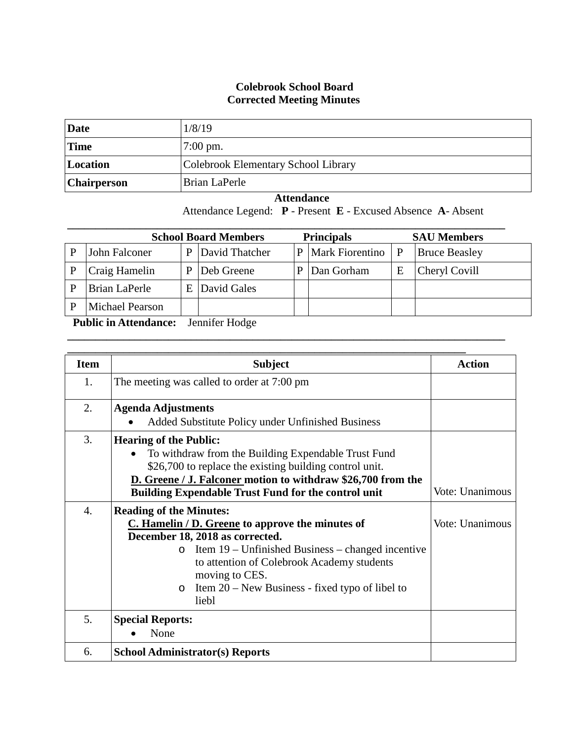## **Colebrook School Board Corrected Meeting Minutes**

| Date        | 1/8/19                              |
|-------------|-------------------------------------|
| <b>Time</b> | $7:00 \text{ pm}.$                  |
| Location    | Colebrook Elementary School Library |
| Chairperson | Brian LaPerle                       |

 **Attendance** Attendance Legend: **P** - Present **E** - Excused Absence **A**- Absent

| <b>School Board Members</b><br><b>Principals</b><br><b>SAU Members</b> |   |                |   |                 |   |                      |
|------------------------------------------------------------------------|---|----------------|---|-----------------|---|----------------------|
| John Falconer                                                          |   | David Thatcher | P | Mark Fiorentino | P | <b>Bruce Beasley</b> |
| Craig Hamelin                                                          | P | Deb Greene     | P | Dan Gorham      | Ε | Cheryl Covill        |
| Brian LaPerle                                                          | E | David Gales    |   |                 |   |                      |
| <b>Michael Pearson</b>                                                 |   |                |   |                 |   |                      |

**\_\_\_\_\_\_\_\_\_\_\_\_\_\_\_\_\_\_\_\_\_\_\_\_\_\_\_\_\_\_\_\_\_\_\_\_\_\_\_\_\_\_\_\_\_\_\_\_\_\_\_\_\_\_\_\_\_\_\_\_\_\_\_\_\_\_\_\_\_\_\_\_\_\_\_\_\_\_**

 **Public in Attendance:** Jennifer Hodge

| <b>Item</b>      | <b>Subject</b>                                                                                                                                                                                                                                                                                                                   | <b>Action</b>   |
|------------------|----------------------------------------------------------------------------------------------------------------------------------------------------------------------------------------------------------------------------------------------------------------------------------------------------------------------------------|-----------------|
| 1.               | The meeting was called to order at 7:00 pm                                                                                                                                                                                                                                                                                       |                 |
| 2.               | <b>Agenda Adjustments</b><br>Added Substitute Policy under Unfinished Business                                                                                                                                                                                                                                                   |                 |
| 3.               | <b>Hearing of the Public:</b><br>To withdraw from the Building Expendable Trust Fund<br>\$26,700 to replace the existing building control unit.<br>D. Greene / J. Falconer motion to withdraw \$26,700 from the<br><b>Building Expendable Trust Fund for the control unit</b>                                                    | Vote: Unanimous |
| $\overline{4}$ . | <b>Reading of the Minutes:</b><br>C. Hamelin / D. Greene to approve the minutes of<br>December 18, 2018 as corrected.<br>Item $19$ – Unfinished Business – changed incentive<br>$\circ$<br>to attention of Colebrook Academy students<br>moving to CES.<br>Item $20$ – New Business - fixed typo of libel to<br>$\circ$<br>liebl | Vote: Unanimous |
| 5.               | <b>Special Reports:</b><br>None                                                                                                                                                                                                                                                                                                  |                 |
| 6.               | <b>School Administrator(s) Reports</b>                                                                                                                                                                                                                                                                                           |                 |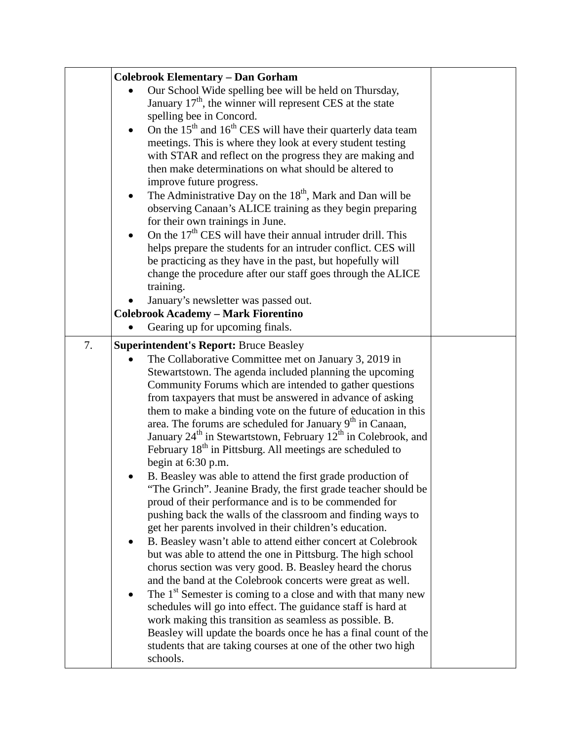|    | <b>Colebrook Elementary - Dan Gorham</b>                                                                               |  |
|----|------------------------------------------------------------------------------------------------------------------------|--|
|    | Our School Wide spelling bee will be held on Thursday,                                                                 |  |
|    | January $17th$ , the winner will represent CES at the state                                                            |  |
|    | spelling bee in Concord.                                                                                               |  |
|    | On the 15 <sup>th</sup> and 16 <sup>th</sup> CES will have their quarterly data team                                   |  |
|    | meetings. This is where they look at every student testing                                                             |  |
|    | with STAR and reflect on the progress they are making and<br>then make determinations on what should be altered to     |  |
|    | improve future progress.                                                                                               |  |
|    | The Administrative Day on the $18th$ , Mark and Dan will be                                                            |  |
|    | observing Canaan's ALICE training as they begin preparing                                                              |  |
|    | for their own trainings in June.                                                                                       |  |
|    | On the 17 <sup>th</sup> CES will have their annual intruder drill. This                                                |  |
|    | helps prepare the students for an intruder conflict. CES will                                                          |  |
|    | be practicing as they have in the past, but hopefully will                                                             |  |
|    | change the procedure after our staff goes through the ALICE                                                            |  |
|    | training.                                                                                                              |  |
|    | January's newsletter was passed out.<br><b>Colebrook Academy - Mark Fiorentino</b>                                     |  |
|    | Gearing up for upcoming finals.                                                                                        |  |
|    |                                                                                                                        |  |
| 7. | <b>Superintendent's Report: Bruce Beasley</b>                                                                          |  |
|    | The Collaborative Committee met on January 3, 2019 in                                                                  |  |
|    | Stewartstown. The agenda included planning the upcoming<br>Community Forums which are intended to gather questions     |  |
|    | from taxpayers that must be answered in advance of asking                                                              |  |
|    | them to make a binding vote on the future of education in this                                                         |  |
|    | area. The forums are scheduled for January 9 <sup>th</sup> in Canaan,                                                  |  |
|    | January 24 <sup>th</sup> in Stewartstown, February 12 <sup>th</sup> in Colebrook, and                                  |  |
|    | February 18 <sup>th</sup> in Pittsburg. All meetings are scheduled to                                                  |  |
|    | begin at 6:30 p.m.                                                                                                     |  |
|    | B. Beasley was able to attend the first grade production of                                                            |  |
|    | "The Grinch". Jeanine Brady, the first grade teacher should be                                                         |  |
|    | proud of their performance and is to be commended for                                                                  |  |
|    | pushing back the walls of the classroom and finding ways to<br>get her parents involved in their children's education. |  |
|    | B. Beasley wasn't able to attend either concert at Colebrook                                                           |  |
|    | but was able to attend the one in Pittsburg. The high school                                                           |  |
|    | chorus section was very good. B. Beasley heard the chorus                                                              |  |
|    | and the band at the Colebrook concerts were great as well.                                                             |  |
|    | The 1 <sup>st</sup> Semester is coming to a close and with that many new                                               |  |
|    | schedules will go into effect. The guidance staff is hard at                                                           |  |
|    | work making this transition as seamless as possible. B.                                                                |  |
|    | Beasley will update the boards once he has a final count of the                                                        |  |
|    | students that are taking courses at one of the other two high                                                          |  |
|    | schools.                                                                                                               |  |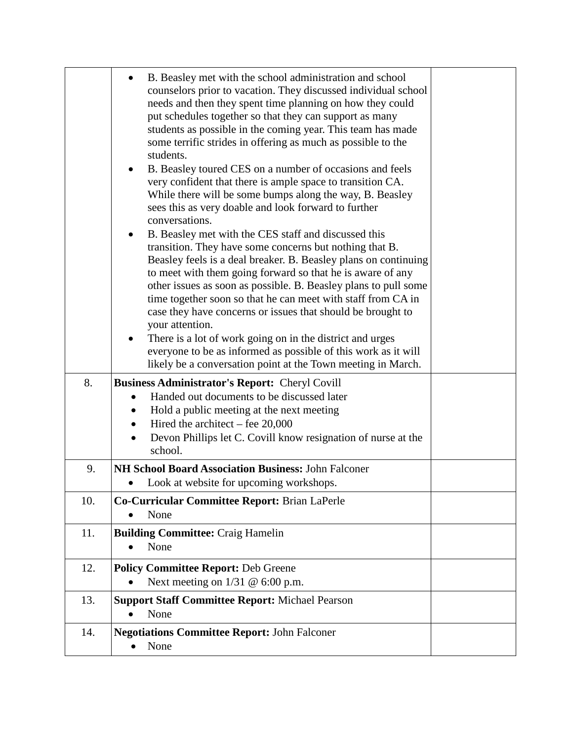|     | B. Beasley met with the school administration and school<br>counselors prior to vacation. They discussed individual school<br>needs and then they spent time planning on how they could<br>put schedules together so that they can support as many<br>students as possible in the coming year. This team has made<br>some terrific strides in offering as much as possible to the<br>students.<br>B. Beasley toured CES on a number of occasions and feels<br>very confident that there is ample space to transition CA.<br>While there will be some bumps along the way, B. Beasley<br>sees this as very doable and look forward to further<br>conversations.<br>B. Beasley met with the CES staff and discussed this<br>$\bullet$<br>transition. They have some concerns but nothing that B.<br>Beasley feels is a deal breaker. B. Beasley plans on continuing<br>to meet with them going forward so that he is aware of any<br>other issues as soon as possible. B. Beasley plans to pull some<br>time together soon so that he can meet with staff from CA in<br>case they have concerns or issues that should be brought to<br>your attention.<br>There is a lot of work going on in the district and urges<br>everyone to be as informed as possible of this work as it will |  |
|-----|-------------------------------------------------------------------------------------------------------------------------------------------------------------------------------------------------------------------------------------------------------------------------------------------------------------------------------------------------------------------------------------------------------------------------------------------------------------------------------------------------------------------------------------------------------------------------------------------------------------------------------------------------------------------------------------------------------------------------------------------------------------------------------------------------------------------------------------------------------------------------------------------------------------------------------------------------------------------------------------------------------------------------------------------------------------------------------------------------------------------------------------------------------------------------------------------------------------------------------------------------------------------------------------|--|
|     | likely be a conversation point at the Town meeting in March.                                                                                                                                                                                                                                                                                                                                                                                                                                                                                                                                                                                                                                                                                                                                                                                                                                                                                                                                                                                                                                                                                                                                                                                                                        |  |
| 8.  | <b>Business Administrator's Report: Cheryl Covill</b><br>Handed out documents to be discussed later<br>$\bullet$<br>Hold a public meeting at the next meeting<br>$\bullet$<br>Hired the architect – fee $20,000$<br>$\bullet$<br>Devon Phillips let C. Covill know resignation of nurse at the<br>school.                                                                                                                                                                                                                                                                                                                                                                                                                                                                                                                                                                                                                                                                                                                                                                                                                                                                                                                                                                           |  |
| 9.  | NH School Board Association Business: John Falconer                                                                                                                                                                                                                                                                                                                                                                                                                                                                                                                                                                                                                                                                                                                                                                                                                                                                                                                                                                                                                                                                                                                                                                                                                                 |  |
| 10. | Look at website for upcoming workshops.<br>Co-Curricular Committee Report: Brian LaPerle                                                                                                                                                                                                                                                                                                                                                                                                                                                                                                                                                                                                                                                                                                                                                                                                                                                                                                                                                                                                                                                                                                                                                                                            |  |
|     | None                                                                                                                                                                                                                                                                                                                                                                                                                                                                                                                                                                                                                                                                                                                                                                                                                                                                                                                                                                                                                                                                                                                                                                                                                                                                                |  |
| 11. | <b>Building Committee: Craig Hamelin</b><br>None                                                                                                                                                                                                                                                                                                                                                                                                                                                                                                                                                                                                                                                                                                                                                                                                                                                                                                                                                                                                                                                                                                                                                                                                                                    |  |
| 12. | <b>Policy Committee Report: Deb Greene</b><br>Next meeting on $1/31 \& 6:00$ p.m.                                                                                                                                                                                                                                                                                                                                                                                                                                                                                                                                                                                                                                                                                                                                                                                                                                                                                                                                                                                                                                                                                                                                                                                                   |  |
| 13. | <b>Support Staff Committee Report: Michael Pearson</b><br>None                                                                                                                                                                                                                                                                                                                                                                                                                                                                                                                                                                                                                                                                                                                                                                                                                                                                                                                                                                                                                                                                                                                                                                                                                      |  |
| 14. | <b>Negotiations Committee Report: John Falconer</b><br>None                                                                                                                                                                                                                                                                                                                                                                                                                                                                                                                                                                                                                                                                                                                                                                                                                                                                                                                                                                                                                                                                                                                                                                                                                         |  |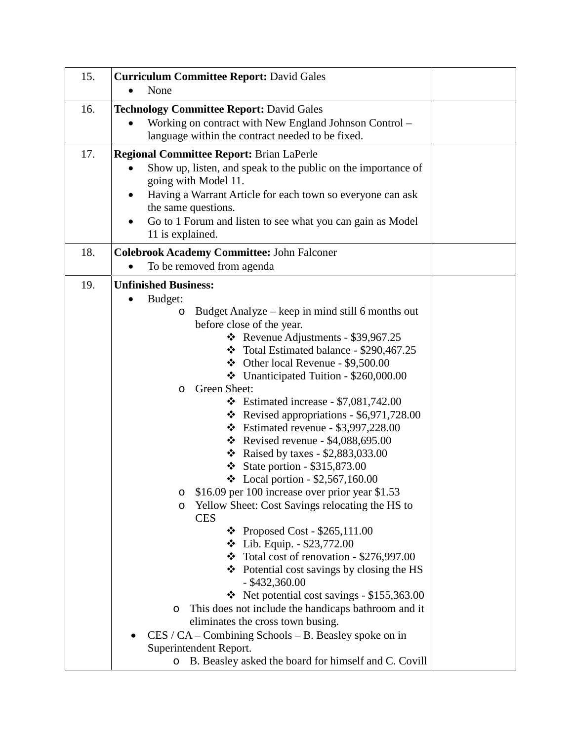| 15. | <b>Curriculum Committee Report: David Gales</b>                                                                                                                                                                                                                                                                                                                                                                                                                                                                 |  |  |
|-----|-----------------------------------------------------------------------------------------------------------------------------------------------------------------------------------------------------------------------------------------------------------------------------------------------------------------------------------------------------------------------------------------------------------------------------------------------------------------------------------------------------------------|--|--|
|     | None                                                                                                                                                                                                                                                                                                                                                                                                                                                                                                            |  |  |
| 16. | <b>Technology Committee Report: David Gales</b><br>Working on contract with New England Johnson Control -<br>language within the contract needed to be fixed.                                                                                                                                                                                                                                                                                                                                                   |  |  |
| 17. | <b>Regional Committee Report: Brian LaPerle</b>                                                                                                                                                                                                                                                                                                                                                                                                                                                                 |  |  |
|     | Show up, listen, and speak to the public on the importance of<br>going with Model 11.<br>Having a Warrant Article for each town so everyone can ask<br>the same questions.<br>Go to 1 Forum and listen to see what you can gain as Model<br>11 is explained.                                                                                                                                                                                                                                                    |  |  |
| 18. | <b>Colebrook Academy Committee: John Falconer</b>                                                                                                                                                                                                                                                                                                                                                                                                                                                               |  |  |
|     | To be removed from agenda                                                                                                                                                                                                                                                                                                                                                                                                                                                                                       |  |  |
| 19. | <b>Unfinished Business:</b><br>Budget:<br>Budget Analyze – keep in mind still 6 months out<br>O<br>before close of the year.<br>* Revenue Adjustments - \$39,967.25<br>$\div$ Total Estimated balance - \$290,467.25<br>$\div$ Other local Revenue - \$9,500.00<br>Unanticipated Tuition - \$260,000.00                                                                                                                                                                                                         |  |  |
|     | Green Sheet:<br>O<br>$\div$ Estimated increase - \$7,081,742.00<br>* Revised appropriations - \$6,971,728.00<br>$\div$ Estimated revenue - \$3,997,228.00<br><b> *</b> Revised revenue - \$4,088,695.00<br>❖ Raised by taxes - \$2,883,033.00<br>State portion - $$315,873.00$<br><b>↓</b> Local portion - \$2,567,160.00<br>\$16.09 per 100 increase over prior year \$1.53<br>O<br>Yellow Sheet: Cost Savings relocating the HS to<br>O<br><b>CES</b>                                                         |  |  |
|     | $\div$ Proposed Cost - \$265,111.00<br>❖ Lib. Equip. $-$ \$23,772.00<br>$\div$ Total cost of renovation - \$276,997.00<br>$\triangle$ Potential cost savings by closing the HS<br>$-$ \$432,360.00<br>$\div$ Net potential cost savings - \$155,363.00<br>This does not include the handicaps bathroom and it<br>O<br>eliminates the cross town busing.<br>$CES / CA$ – Combining Schools – B. Beasley spoke on in<br>Superintendent Report.<br>B. Beasley asked the board for himself and C. Covill<br>$\circ$ |  |  |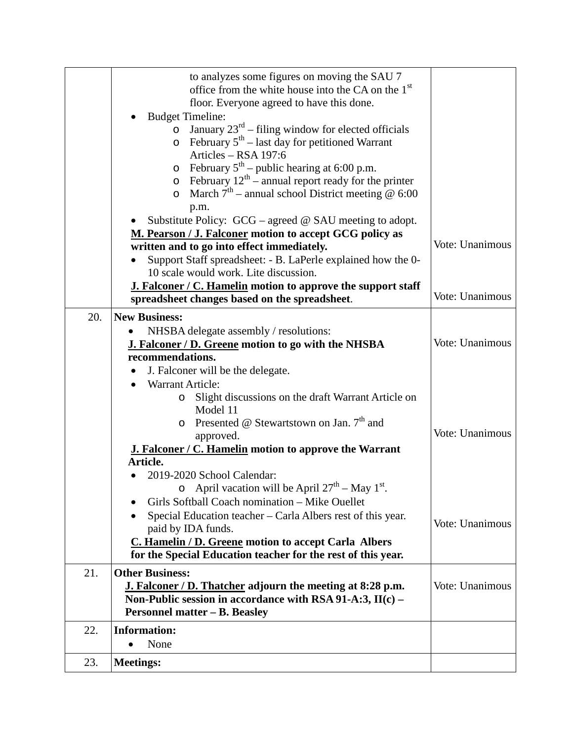|     | to analyzes some figures on moving the SAU 7<br>office from the white house into the CA on the 1 <sup>st</sup><br>floor. Everyone agreed to have this done.<br><b>Budget Timeline:</b><br>January $23^{rd}$ – filing window for elected officials<br>February $5th$ – last day for petitioned Warrant<br>$\circ$<br>Articles - RSA 197:6<br>February $5th$ – public hearing at 6:00 p.m.<br>$\circ$<br>February $12^{th}$ – annual report ready for the printer<br>$\circ$ |                 |
|-----|----------------------------------------------------------------------------------------------------------------------------------------------------------------------------------------------------------------------------------------------------------------------------------------------------------------------------------------------------------------------------------------------------------------------------------------------------------------------------|-----------------|
|     | March $7th$ – annual school District meeting @ 6:00<br>$\circ$<br>p.m.<br>Substitute Policy: $GCG$ – agreed @ SAU meeting to adopt.<br>M. Pearson / J. Falconer motion to accept GCG policy as<br>written and to go into effect immediately.<br>Support Staff spreadsheet: - B. LaPerle explained how the 0-<br>10 scale would work. Lite discussion.<br><b>J. Falconer / C. Hamelin</b> motion to approve the support staff                                               | Vote: Unanimous |
|     | spreadsheet changes based on the spreadsheet.                                                                                                                                                                                                                                                                                                                                                                                                                              | Vote: Unanimous |
| 20. | <b>New Business:</b><br>NHSBA delegate assembly / resolutions:<br><b>J. Falconer / D. Greene motion to go with the NHSBA</b><br>recommendations.<br>J. Falconer will be the delegate.                                                                                                                                                                                                                                                                                      | Vote: Unanimous |
|     | Warrant Article:<br>$\bullet$<br>Slight discussions on the draft Warrant Article on<br>$\circ$<br>Model 11<br>Presented @ Stewartstown on Jan. $7th$ and<br>$\circ$<br>approved.<br><b>J. Falconer / C. Hamelin motion to approve the Warrant</b><br>Article.<br>2019-2020 School Calendar:                                                                                                                                                                                | Vote: Unanimous |
|     | o April vacation will be April $27^{\text{th}}$ – May 1 <sup>st</sup> .<br>Girls Softball Coach nomination – Mike Ouellet<br>Special Education teacher – Carla Albers rest of this year.<br>paid by IDA funds.<br>C. Hamelin / D. Greene motion to accept Carla Albers<br>for the Special Education teacher for the rest of this year.                                                                                                                                     | Vote: Unanimous |
| 21. | <b>Other Business:</b><br>J. Falconer / D. Thatcher adjourn the meeting at 8:28 p.m.<br>Non-Public session in accordance with RSA 91-A:3, $II(c)$ –<br><b>Personnel matter – B. Beasley</b>                                                                                                                                                                                                                                                                                | Vote: Unanimous |
| 22. | <b>Information:</b><br>None                                                                                                                                                                                                                                                                                                                                                                                                                                                |                 |
| 23. | <b>Meetings:</b>                                                                                                                                                                                                                                                                                                                                                                                                                                                           |                 |